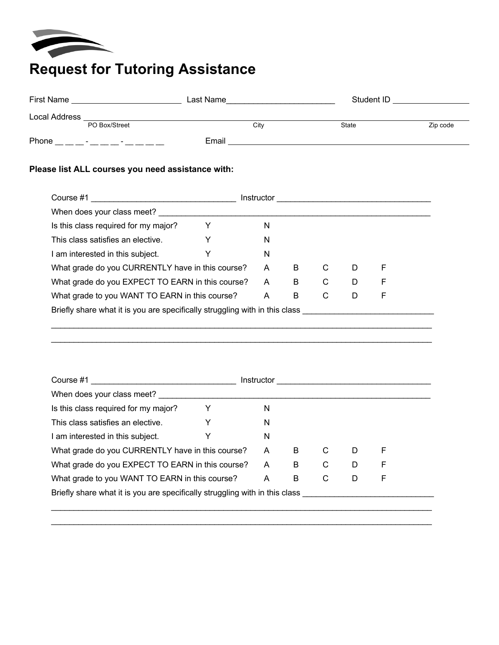

## **Request for Tutoring Assistance**

| <b>First Name</b> |                                    | Last Name | Student ID   |          |
|-------------------|------------------------------------|-----------|--------------|----------|
| Local Address     |                                    |           |              |          |
|                   | PO Box/Street                      | City      | <b>State</b> | Zip code |
| Phone             | $\overline{\phantom{a}}$<br>$\sim$ | Email     |              |          |

## **Please list ALL courses you need assistance with:**

| Course #1                                                                   |   | <b>Instructor</b> |   |   |   |   |  |  |  |
|-----------------------------------------------------------------------------|---|-------------------|---|---|---|---|--|--|--|
| When does your class meet?                                                  |   |                   |   |   |   |   |  |  |  |
| Is this class required for my major?                                        | Y | N                 |   |   |   |   |  |  |  |
| This class satisfies an elective.                                           | Y | N                 |   |   |   |   |  |  |  |
| I am interested in this subject.                                            |   | N                 |   |   |   |   |  |  |  |
| What grade do you CURRENTLY have in this course?                            | A | B                 | C | D | F |   |  |  |  |
| What grade do you EXPECT TO EARN in this course?                            |   |                   | B | C | D | F |  |  |  |
| What grade to you WANT TO EARN in this course?                              | A | B                 | C | D | F |   |  |  |  |
| Briefly share what it is you are specifically struggling with in this class |   |                   |   |   |   |   |  |  |  |
|                                                                             |   |                   |   |   |   |   |  |  |  |

 $\mathcal{L}_\mathcal{L} = \{ \mathcal{L}_\mathcal{L} = \{ \mathcal{L}_\mathcal{L} = \{ \mathcal{L}_\mathcal{L} = \{ \mathcal{L}_\mathcal{L} = \{ \mathcal{L}_\mathcal{L} = \{ \mathcal{L}_\mathcal{L} = \{ \mathcal{L}_\mathcal{L} = \{ \mathcal{L}_\mathcal{L} = \{ \mathcal{L}_\mathcal{L} = \{ \mathcal{L}_\mathcal{L} = \{ \mathcal{L}_\mathcal{L} = \{ \mathcal{L}_\mathcal{L} = \{ \mathcal{L}_\mathcal{L} = \{ \mathcal{L}_\mathcal{$ 

| Course #1                                                                   |   | Instructor |   |   |   |  |  |  |  |
|-----------------------------------------------------------------------------|---|------------|---|---|---|--|--|--|--|
| When does your class meet?                                                  |   |            |   |   |   |  |  |  |  |
| Is this class required for my major?                                        |   | N          |   |   |   |  |  |  |  |
| This class satisfies an elective.                                           | Y | N          |   |   |   |  |  |  |  |
| I am interested in this subject.                                            |   | N          |   |   |   |  |  |  |  |
| What grade do you CURRENTLY have in this course?                            | A | B          | C | D | F |  |  |  |  |
| What grade do you EXPECT TO EARN in this course?                            | A | B          | C | D | F |  |  |  |  |
| What grade to you WANT TO EARN in this course?                              | A | B          | С | D | F |  |  |  |  |
| Briefly share what it is you are specifically struggling with in this class |   |            |   |   |   |  |  |  |  |
|                                                                             |   |            |   |   |   |  |  |  |  |

\_\_\_\_\_\_\_\_\_\_\_\_\_\_\_\_\_\_\_\_\_\_\_\_\_\_\_\_\_\_\_\_\_\_\_\_\_\_\_\_\_\_\_\_\_\_\_\_\_\_\_\_\_\_\_\_\_\_\_\_\_\_\_\_\_\_\_\_\_\_\_\_\_\_\_\_\_\_\_\_\_\_\_\_